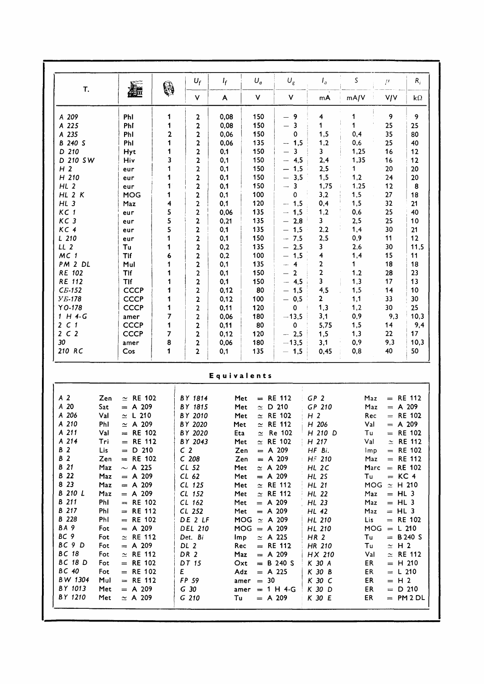| T.                                                                                                                           |            | 繼                            | 0 | $U_f$                               | $I_f$       | $U_{q}$                       | $U_{\rm g}$                                | $I_a$                   | S        | $\mu$                  | $R_i$           |
|------------------------------------------------------------------------------------------------------------------------------|------------|------------------------------|---|-------------------------------------|-------------|-------------------------------|--------------------------------------------|-------------------------|----------|------------------------|-----------------|
|                                                                                                                              |            |                              |   | $\mathsf{V}$                        | A           | $\mathsf{v}$                  | ٧                                          | mA                      | mA/V     | <b>V/V</b>             | $k\Omega$       |
| A 209                                                                                                                        |            | Phl                          | 1 | 2                                   | 0,08        | 150                           | -9                                         | 4                       | 1        | 9                      | 9               |
| A 225                                                                                                                        |            | Phi                          | 1 | 2                                   | 0,08        | 150                           | 3                                          | 1                       | 1        | 25                     | 25              |
| A 235                                                                                                                        |            | Phl                          | 2 | 2                                   | 0,06        | 150                           | 0                                          | 1,5                     | 0,4      | 35                     | 80              |
| B 240 S                                                                                                                      |            | Phl                          | 1 | 2                                   | 0,06        | 135                           | $-1,5$                                     | 1,2                     | 0,6      | 25                     | 40              |
| D 210                                                                                                                        |            | Hyt                          | 1 | 2                                   | 0,1         | 150                           | 3                                          | 3                       | 1,25     | 16                     | 12              |
| D 210 SW                                                                                                                     |            | Hiv                          | 3 | 2                                   | 0,1         | 150                           | 4,5                                        | 2,4                     | 1,35     | 16                     | 12              |
| H <sub>2</sub>                                                                                                               |            | eur                          | 1 | 2                                   | 0,1         | 150                           | 1,5                                        | 2,5                     | 1        | 20                     | 20              |
| H 210                                                                                                                        |            | eur                          | 1 | $\mathbf 2$                         | 0,1         | 150                           | 3,5<br>$\overline{\phantom{0}}$            | 1,5                     | 1,2      | 24                     | 20              |
| HL <sub>2</sub>                                                                                                              |            | eur                          | 1 | $\mathbf 2$                         | 0,1         | 150                           | $\mathbf{3}$<br>$\overline{\phantom{0}}$   | 1,75                    | 1,25     | 12                     | 8               |
| $HL$ 2 $K$                                                                                                                   |            | <b>MOG</b>                   | 1 | 2                                   | 0,1         | 100                           | 0                                          | 3,2                     | 1,5      | 27                     | 18              |
| $HL$ 3                                                                                                                       |            | Maz                          | 4 | 2                                   | 0,1         | 120                           | $-1,5$                                     | 0,4                     | 1,5      | 32                     | 21              |
| KC <sub>1</sub>                                                                                                              |            | eur                          | 5 | 2                                   | 0,06        | 135                           | 1,5                                        | 1,2                     | 0,6      | 25                     | 40              |
| KC <sub>3</sub>                                                                                                              |            | eur                          | 5 | $\mathbf 2$                         | 0,21        | 135                           | 2,8                                        | $\overline{\mathbf{3}}$ | 2,5      | 25                     | 10              |
| KC <sub>4</sub>                                                                                                              |            | eur                          | 5 | 2                                   | 0,1         | 135                           | 1,5                                        | 2,2                     | 1,4      | 30                     | 21              |
| $L$ 210                                                                                                                      |            | eur                          | 1 | $\mathbf 2$                         | 0,1         | 150                           | 7,5<br>$\overline{\phantom{0}}$            | 2,5                     | 0,9      | 11                     | 12              |
| LL <sub>2</sub>                                                                                                              |            | Tu                           | 1 | 2                                   | 0,2         | 135                           | 2,5<br>$\overline{\phantom{0}}$            | 3                       | 2,6      | 30                     | 11,5            |
| MC <sub>1</sub>                                                                                                              |            | Tlf                          | 6 | $\mathbf 2$                         | 0,2         | 100                           | 1,5                                        | $\overline{\mathbf{4}}$ | 1,4      | 15                     | 11              |
| PM 2 DL                                                                                                                      |            | Mul                          | 1 | 2                                   | 0,1         | 135                           | $\overline{4}$                             | 2                       | 1        | 18                     | 18              |
| RE 102                                                                                                                       |            | TIf                          | 1 | 2                                   | 0,1         | 150                           | $\overline{2}$<br>$\overline{\phantom{0}}$ | $\overline{2}$          | 1,2      | 28                     | 23              |
| RE 112                                                                                                                       |            | <b>TIf</b>                   | 1 | 2                                   | 0,1         | 150                           | 4,5<br>$\overline{\phantom{a}}$            | 3                       | 1,3      | 17                     | 13              |
| $CB-152$                                                                                                                     |            | <b>CCCP</b>                  | 1 | 2                                   | 0,12        | 80                            | $-1,5$                                     | 4,5                     | 1,5      | 14                     | 10              |
| <b>Y</b> <i>E</i> -178                                                                                                       |            | <b>CCCP</b>                  | 1 | $\mathbf 2$                         | 0,12        | 100                           | $-0,5$                                     | $\mathbf{2}$            | 1,1      | 33                     | 30              |
| $YO-178$                                                                                                                     |            | <b>CCCP</b>                  | 1 | 2                                   | 0,11        | 120                           | 0                                          | 1,3                     | 1,2      | 30                     | 25              |
| $1$ H 4-G                                                                                                                    |            | amer                         | 7 | 2                                   | 0,06        | 180                           | $-13,5$                                    | 3,1                     | 0,9      | 9,3                    | 10,3            |
| $2\,c\,1$                                                                                                                    |            | <b>CCCP</b>                  | 1 | 2                                   | 0,11        | 80                            | 0                                          | 5,75                    | 1,5      | 14                     | 9,4             |
| 2 C 2                                                                                                                        |            | <b>CCCP</b>                  | 7 | 2                                   | 0,12        | 120                           | $-2,5$                                     | 1,5                     | 1,3      | 22                     | 17 <sub>2</sub> |
| 30                                                                                                                           |            | amer                         | 8 | $\mathbf 2$                         | 0,06        | 180                           | $-13,5$                                    | 3,1                     | 0,9      | 9,3                    | 10,3            |
| 210 RC                                                                                                                       |            | Cos                          | 1 | 2                                   | 0,1         | 135                           | $-1,5$                                     | 0,45                    | 0,8      | 40                     | 50              |
|                                                                                                                              |            |                              |   |                                     | Equivalents |                               |                                            |                         |          |                        |                 |
|                                                                                                                              |            |                              |   |                                     |             |                               |                                            |                         |          |                        |                 |
| A <sub>2</sub>                                                                                                               | Zen        | $\simeq$ RE 102              |   | BY 1814                             | Met         |                               | $=$ RE 112                                 | GP <sub>2</sub>         | Maz      | $=$ RE 112             |                 |
| A 20                                                                                                                         | Sat        | $= A 209$                    |   | BY 1815                             | Met         | $\simeq$ D 210                |                                            | GP 210                  | Maz      | $= A 209$              |                 |
| A 206                                                                                                                        | Val        | $\simeq$ L 210               |   | BY 2010                             | Met         |                               | $\simeq$ RE 102                            | H <sub>2</sub>          | Rec      |                        |                 |
|                                                                                                                              | Phl        | $\simeq$ A 209               |   | BY 2020                             | Met         |                               | $\simeq$ RE 112                            | H 206                   | Val      | $= A 209$              |                 |
| A 210<br>A 211                                                                                                               | Val        | $=$ RE 102                   |   | BY 2020                             | Eta         |                               | $\simeq$ Re 102                            | H 210 D                 | Tu       | $=$ RE 102             |                 |
| A 214                                                                                                                        | Tri        | $=$ RE 112                   |   | BY 2043                             |             | Met                           | $\simeq$ RE 102                            | H 217                   | Val      |                        |                 |
|                                                                                                                              | Lis        | $= D 210$                    |   | C <sub>2</sub>                      |             | Zen<br>$= A 209$              |                                            | HF Bi.                  | lmp      | $=$ RE 102             |                 |
|                                                                                                                              | Zen        | $= RE 102$                   |   | C <sub>208</sub>                    |             | $= A 209$<br>Zen              |                                            | $\pm$ HF 210            |          | $=$ RE 112<br>Maz      |                 |
|                                                                                                                              | Maz        | $\sim$ A 225                 |   | CL <sub>52</sub>                    | Met         | $\simeq$ A 209                |                                            | HL 2C                   |          | Marc $=$ RE 102        |                 |
|                                                                                                                              | Maz        | $= A 209$                    |   | CL 62                               |             | Met<br>$= A 209$              |                                            | $HL$ 2S                 | Tu       | $= KC 4$               |                 |
|                                                                                                                              | Maz        | $= A 209$                    |   | $CL$ 125                            | Met         | $\simeq$ RE 112               |                                            | HL 21                   |          | MOG $\simeq$ H 210     |                 |
|                                                                                                                              | Maz        | $= A 209$                    |   | CL 152                              |             | Met<br>$\approx$ RE 112       |                                            | HL 22                   |          | $=$ HL 3<br>Maz        | $=$ RE 102      |
|                                                                                                                              | PhI        | $=$ RE 102                   |   | $CL$ 162                            |             | Met<br>$= A 209$              |                                            | HL 23                   | Maz      | $=$ HL 3               |                 |
|                                                                                                                              | PhI        | $=$ RE 112                   |   | $CL$ 252                            |             | Met<br>$= A 209$              |                                            | HL 42                   | Maz      | $=$ HL 3               |                 |
|                                                                                                                              | Phl        | $=$ RE 102                   |   | DE 2 LF                             |             | MOG $\simeq$ A 209            |                                            | HL 210                  | Lis      | $=$ RE 102             |                 |
|                                                                                                                              | Fot        | $= A 209$                    |   | <b>DEL 210</b>                      |             | $MOG = A 209$                 |                                            | HL 210                  |          | $MOG = L 210$          |                 |
| <b>B</b> 2<br><b>B</b> 2<br><b>B</b> 21<br><b>B</b> 22<br>8 2 3<br>B 210 L<br>B 211<br>B 217<br><b>B</b> 228<br>BA 9<br>BC 9 | Fot        | $\simeq$ RE 112              |   | Det. Bi                             |             | lmp<br>$\approx$ A 225        |                                            | HR <sub>2</sub>         | Tu       | $= B240 S$             |                 |
| BC 9 D                                                                                                                       | Fot        | $= A 209$                    |   | DL 2                                |             | Rec<br>$=$ RE 112             |                                            | HR 210                  | Tu       | $\simeq$ H 2           |                 |
| <b>BC 18</b>                                                                                                                 | Fot        | $\simeq$ RE 112              |   | DR 2                                |             | Maz<br>$= A 209$              |                                            | HX 210                  | Val      | $\simeq$ RE 112        |                 |
| <b>BC 18 D</b>                                                                                                               | Fot        | $=$ RE 102                   |   | DT 15                               |             | Oxt                           | $= B 240 S$                                | K 30 A                  | ER       | $=$ H 210              | $\simeq$ RE 112 |
| BC 40                                                                                                                        | Fot        | $=$ RE 102                   |   | E <sub>c</sub>                      |             | Adz<br>$= A 225$              |                                            | K 30 B                  | ER       | $= L 210$              |                 |
| BW 1304                                                                                                                      | Mul        | $=$ RE 112                   |   | FP 59                               |             | $amer = 30$                   |                                            | K 30 C                  | ER       | $=$ H 2                |                 |
| BY 1013<br>BY 1210                                                                                                           | Met<br>Met | $= A 209$<br>$\approx$ A 209 |   | G <sub>30</sub><br>G <sub>210</sub> | Tu          | $amer = 1 H 4-G$<br>$= A 209$ |                                            | K 30 D<br>K 30 E        | ER<br>ER | $= D 210$<br>$= PM2DL$ |                 |